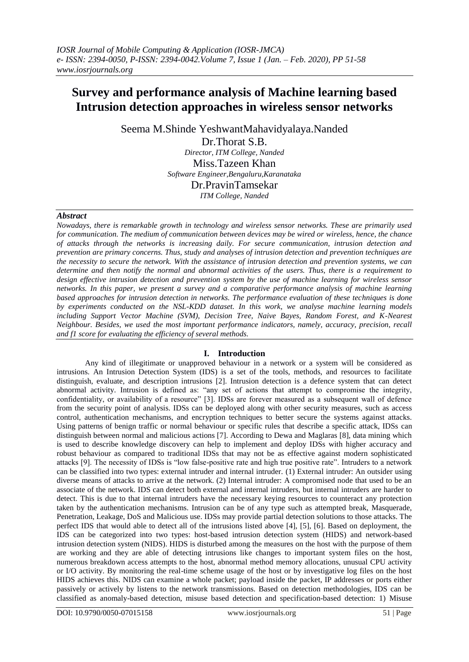# **Survey and performance analysis of Machine learning based Intrusion detection approaches in wireless sensor networks**

Seema M.Shinde YeshwantMahavidyalaya.Nanded

Dr.Thorat S.B. *Director, ITM College, Nanded* Miss.Tazeen Khan *Software Engineer,Bengaluru,Karanataka* Dr.PravinTamsekar *ITM College, Nanded*

#### *Abstract*

*Nowadays, there is remarkable growth in technology and wireless sensor networks. These are primarily used for communication. The medium of communication between devices may be wired or wireless, hence, the chance of attacks through the networks is increasing daily. For secure communication, intrusion detection and prevention are primary concerns. Thus, study and analyses of intrusion detection and prevention techniques are the necessity to secure the network. With the assistance of intrusion detection and prevention systems, we can determine and then notify the normal and abnormal activities of the users. Thus, there is a requirement to design effective intrusion detection and prevention system by the use of machine learning for wireless sensor networks. In this paper, we present a survey and a comparative performance analysis of machine learning based approaches for intrusion detection in networks. The performance evaluation of these techniques is done by experiments conducted on the NSL-KDD dataset. In this work, we analyse machine learning models including Support Vector Machine (SVM), Decision Tree, Naive Bayes, Random Forest, and K-Nearest Neighbour. Besides, we used the most important performance indicators, namely, accuracy, precision, recall and f1 score for evaluating the efficiency of several methods.*

# **I. Introduction**

Any kind of illegitimate or unapproved behaviour in a network or a system will be considered as intrusions. An Intrusion Detection System (IDS) is a set of the tools, methods, and resources to facilitate distinguish, evaluate, and description intrusions [2]. Intrusion detection is a defence system that can detect abnormal activity. Intrusion is defined as: "any set of actions that attempt to compromise the integrity, confidentiality, or availability of a resource" [3]. IDSs are forever measured as a subsequent wall of defence from the security point of analysis. IDSs can be deployed along with other security measures, such as access control, authentication mechanisms, and encryption techniques to better secure the systems against attacks. Using patterns of benign traffic or normal behaviour or specific rules that describe a specific attack, IDSs can distinguish between normal and malicious actions [7]. According to Dewa and Maglaras [8], data mining which is used to describe knowledge discovery can help to implement and deploy IDSs with higher accuracy and robust behaviour as compared to traditional IDSs that may not be as effective against modern sophisticated attacks [9]. The necessity of IDSs is "low false-positive rate and high true positive rate". Intruders to a network can be classified into two types: external intruder and internal intruder. (1) External intruder: An outsider using diverse means of attacks to arrive at the network. (2) Internal intruder: A compromised node that used to be an associate of the network. IDS can detect both external and internal intruders, but internal intruders are harder to detect. This is due to that internal intruders have the necessary keying resources to counteract any protection taken by the authentication mechanisms. Intrusion can be of any type such as attempted break, Masquerade, Penetration, Leakage, DoS and Malicious use. IDSs may provide partial detection solutions to those attacks. The perfect IDS that would able to detect all of the intrusions listed above [4], [5], [6]. Based on deployment, the IDS can be categorized into two types: host-based intrusion detection system (HIDS) and network-based intrusion detection system (NIDS). HIDS is disturbed among the measures on the host with the purpose of them are working and they are able of detecting intrusions like changes to important system files on the host, numerous breakdown access attempts to the host, abnormal method memory allocations, unusual CPU activity or I/O activity. By monitoring the real-time scheme usage of the host or by investigative log files on the host HIDS achieves this. NIDS can examine a whole packet; payload inside the packet, IP addresses or ports either passively or actively by listens to the network transmissions. Based on detection methodologies, IDS can be classified as anomaly-based detection, misuse based detection and specification-based detection: 1) Misuse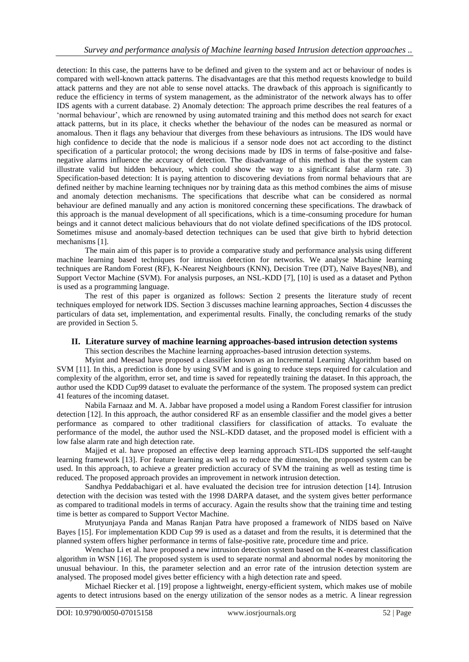detection: In this case, the patterns have to be defined and given to the system and act or behaviour of nodes is compared with well-known attack patterns. The disadvantages are that this method requests knowledge to build attack patterns and they are not able to sense novel attacks. The drawback of this approach is significantly to reduce the efficiency in terms of system management, as the administrator of the network always has to offer IDS agents with a current database. 2) Anomaly detection: The approach prime describes the real features of a "normal behaviour", which are renowned by using automated training and this method does not search for exact attack patterns, but in its place, it checks whether the behaviour of the nodes can be measured as normal or anomalous. Then it flags any behaviour that diverges from these behaviours as intrusions. The IDS would have high confidence to decide that the node is malicious if a sensor node does not act according to the distinct specification of a particular protocol; the wrong decisions made by IDS in terms of false-positive and falsenegative alarms influence the accuracy of detection. The disadvantage of this method is that the system can illustrate valid but hidden behaviour, which could show the way to a significant false alarm rate. 3) Specification-based detection: It is paying attention to discovering deviations from normal behaviours that are defined neither by machine learning techniques nor by training data as this method combines the aims of misuse and anomaly detection mechanisms. The specifications that describe what can be considered as normal behaviour are defined manually and any action is monitored concerning these specifications. The drawback of this approach is the manual development of all specifications, which is a time-consuming procedure for human beings and it cannot detect malicious behaviours that do not violate defined specifications of the IDS protocol. Sometimes misuse and anomaly-based detection techniques can be used that give birth to hybrid detection mechanisms [1].

The main aim of this paper is to provide a comparative study and performance analysis using different machine learning based techniques for intrusion detection for networks. We analyse Machine learning techniques are Random Forest (RF), K-Nearest Neighbours (KNN), Decision Tree (DT), Naïve Bayes(NB), and Support Vector Machine (SVM). For analysis purposes, an NSL-KDD [7], [10] is used as a dataset and Python is used as a programming language.

The rest of this paper is organized as follows: Section 2 presents the literature study of recent techniques employed for network IDS. Section 3 discusses machine learning approaches, Section 4 discusses the particulars of data set, implementation, and experimental results. Finally, the concluding remarks of the study are provided in Section 5.

# **II. Literature survey of machine learning approaches-based intrusion detection systems**

This section describes the Machine learning approaches-based intrusion detection systems.

Myint and Meesad have proposed a classifier known as an Incremental Learning Algorithm based on SVM [11]. In this, a prediction is done by using SVM and is going to reduce steps required for calculation and complexity of the algorithm, error set, and time is saved for repeatedly training the dataset. In this approach, the author used the KDD Cup99 dataset to evaluate the performance of the system. The proposed system can predict 41 features of the incoming dataset.

Nabila Farnaaz and M. A. Jabbar have proposed a model using a Random Forest classifier for intrusion detection [12]. In this approach, the author considered RF as an ensemble classifier and the model gives a better performance as compared to other traditional classifiers for classification of attacks. To evaluate the performance of the model, the author used the NSL-KDD dataset, and the proposed model is efficient with a low false alarm rate and high detection rate.

Majjed et al. have proposed an effective deep learning approach STL-IDS supported the self-taught learning framework [13]. For feature learning as well as to reduce the dimension, the proposed system can be used. In this approach, to achieve a greater prediction accuracy of SVM the training as well as testing time is reduced. The proposed approach provides an improvement in network intrusion detection.

Sandhya Peddabachigari et al. have evaluated the decision tree for intrusion detection [14]. Intrusion detection with the decision was tested with the 1998 DARPA dataset, and the system gives better performance as compared to traditional models in terms of accuracy. Again the results show that the training time and testing time is better as compared to Support Vector Machine.

Mrutyunjaya Panda and Manas Ranjan Patra have proposed a framework of NIDS based on Naïve Bayes [15]. For implementation KDD Cup 99 is used as a dataset and from the results, it is determined that the planned system offers higher performance in terms of false-positive rate, procedure time and price.

Wenchao Li et al. have proposed a new intrusion detection system based on the K-nearest classification algorithm in WSN [16]. The proposed system is used to separate normal and abnormal nodes by monitoring the unusual behaviour. In this, the parameter selection and an error rate of the intrusion detection system are analysed. The proposed model gives better efficiency with a high detection rate and speed.

Michael Riecker et al. [19] propose a lightweight, energy-efficient system, which makes use of mobile agents to detect intrusions based on the energy utilization of the sensor nodes as a metric. A linear regression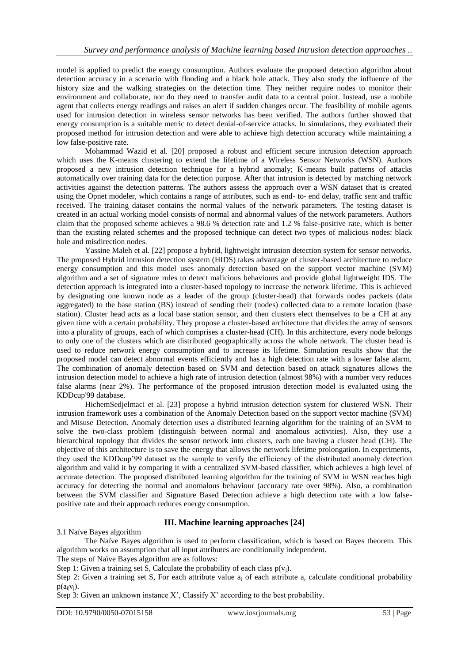model is applied to predict the energy consumption. Authors evaluate the proposed detection algorithm about detection accuracy in a scenario with flooding and a black hole attack. They also study the influence of the history size and the walking strategies on the detection time. They neither require nodes to monitor their environment and collaborate, nor do they need to transfer audit data to a central point. Instead, use a mobile agent that collects energy readings and raises an alert if sudden changes occur. The feasibility of mobile agents used for intrusion detection in wireless sensor networks has been verified. The authors further showed that energy consumption is a suitable metric to detect denial-of-service attacks. In simulations, they evaluated their proposed method for intrusion detection and were able to achieve high detection accuracy while maintaining a low false-positive rate.

Mohammad Wazid et al. [20] proposed a robust and efficient secure intrusion detection approach which uses the K-means clustering to extend the lifetime of a Wireless Sensor Networks (WSN). Authors proposed a new intrusion detection technique for a hybrid anomaly; K-means built patterns of attacks automatically over training data for the detection purpose. After that intrusion is detected by matching network activities against the detection patterns. The authors assess the approach over a WSN dataset that is created using the Opnet modeler, which contains a range of attributes, such as end- to- end delay, traffic sent and traffic received. The training dataset contains the normal values of the network parameters. The testing dataset is created in an actual working model consists of normal and abnormal values of the network parameters. Authors claim that the proposed scheme achieves a 98.6 % detection rate and 1.2 % false-positive rate, which is better than the existing related schemes and the proposed technique can detect two types of malicious nodes: black hole and misdirection nodes.

Yassine Maleh et al. [22] propose a hybrid, lightweight intrusion detection system for sensor networks. The proposed Hybrid intrusion detection system (HIDS) takes advantage of cluster-based architecture to reduce energy consumption and this model uses anomaly detection based on the support vector machine (SVM) algorithm and a set of signature rules to detect malicious behaviours and provide global lightweight IDS. The detection approach is integrated into a cluster-based topology to increase the network lifetime. This is achieved by designating one known node as a leader of the group (cluster-head) that forwards nodes packets (data aggregated) to the base station (BS) instead of sending their (nodes) collected data to a remote location (base station). Cluster head acts as a local base station sensor, and then clusters elect themselves to be a CH at any given time with a certain probability. They propose a cluster-based architecture that divides the array of sensors into a plurality of groups, each of which comprises a cluster-head (CH). In this architecture, every node belongs to only one of the clusters which are distributed geographically across the whole network. The cluster head is used to reduce network energy consumption and to increase its lifetime. Simulation results show that the proposed model can detect abnormal events efficiently and has a high detection rate with a lower false alarm. The combination of anomaly detection based on SVM and detection based on attack signatures allows the intrusion detection model to achieve a high rate of intrusion detection (almost 98%) with a number very reduces false alarms (near 2%). The performance of the proposed intrusion detection model is evaluated using the KDDcup'99 database.

HichemSedjelmaci et al. [23] propose a hybrid intrusion detection system for clustered WSN. Their intrusion framework uses a combination of the Anomaly Detection based on the support vector machine (SVM) and Misuse Detection. Anomaly detection uses a distributed learning algorithm for the training of an SVM to solve the two-class problem (distinguish between normal and anomalous activities). Also, they use a hierarchical topology that divides the sensor network into clusters, each one having a cluster head (CH). The objective of this architecture is to save the energy that allows the network lifetime prolongation. In experiments, they used the KDDcup"99 dataset as the sample to verify the efficiency of the distributed anomaly detection algorithm and valid it by comparing it with a centralized SVM-based classifier, which achieves a high level of accurate detection. The proposed distributed learning algorithm for the training of SVM in WSN reaches high accuracy for detecting the normal and anomalous behaviour (accuracy rate over 98%). Also, a combination between the SVM classifier and Signature Based Detection achieve a high detection rate with a low falsepositive rate and their approach reduces energy consumption.

# **III. Machine learning approaches [24]**

3.1 Naïve Bayes algorithm

The Naïve Bayes algorithm is used to perform classification, which is based on Bayes theorem. This algorithm works on assumption that all input attributes are conditionally independent.

The steps of Naïve Bayes algorithm are as follows:

Step 1: Given a training set S, Calculate the probability of each class  $p(v_i)$ .

Step 2: Given a training set S, For each attribute value a<sub>i</sub> of each attribute a, calculate conditional probability  $p(a_i|v_i)$ .

Step 3: Given an unknown instance  $X'$ , Classify  $X'$  according to the best probability.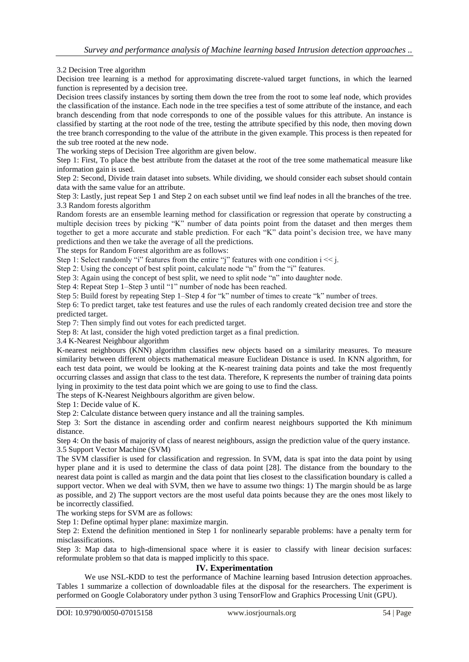3.2 Decision Tree algorithm

Decision tree learning is a method for approximating discrete-valued target functions, in which the learned function is represented by a decision tree.

Decision trees classify instances by sorting them down the tree from the root to some leaf node, which provides the classification of the instance. Each node in the tree specifies a test of some attribute of the instance, and each branch descending from that node corresponds to one of the possible values for this attribute. An instance is classified by starting at the root node of the tree, testing the attribute specified by this node, then moving down the tree branch corresponding to the value of the attribute in the given example. This process is then repeated for the sub tree rooted at the new node.

The working steps of Decision Tree algorithm are given below.

Step 1: First, To place the best attribute from the dataset at the root of the tree some mathematical measure like information gain is used.

Step 2: Second, Divide train dataset into subsets. While dividing, we should consider each subset should contain data with the same value for an attribute.

Step 3: Lastly, just repeat Sep 1 and Step 2 on each subset until we find leaf nodes in all the branches of the tree. 3.3 Random forests algorithm

Random forests are an ensemble learning method for classification or regression that operate by constructing a multiple decision trees by picking "K" number of data points point from the dataset and then merges them together to get a more accurate and stable prediction. For each "K" data point's decision tree, we have many predictions and then we take the average of all the predictions.

The steps for Random Forest algorithm are as follows:

Step 1: Select randomly "i" features from the entire "j" features with one condition  $i \ll j$ .

Step 2: Using the concept of best split point, calculate node "n" from the "i" features.

Step 3: Again using the concept of best split, we need to split node "n" into daughter node.

Step 4: Repeat Step 1–Step 3 until "1" number of node has been reached.

Step 5: Build forest by repeating Step 1–Step 4 for "k" number of times to create "k" number of trees.

Step 6: To predict target, take test features and use the rules of each randomly created decision tree and store the predicted target.

Step 7: Then simply find out votes for each predicted target.

Step 8: At last, consider the high voted prediction target as a final prediction.

3.4 K-Nearest Neighbour algorithm

K-nearest neighbours (KNN) algorithm classifies new objects based on a similarity measures. To measure similarity between different objects mathematical measure Euclidean Distance is used. In KNN algorithm, for each test data point, we would be looking at the K-nearest training data points and take the most frequently occurring classes and assign that class to the test data. Therefore, K represents the number of training data points lying in proximity to the test data point which we are going to use to find the class.

The steps of K-Nearest Neighbours algorithm are given below.

Step 1: Decide value of K.

Step 2: Calculate distance between query instance and all the training samples.

Step 3: Sort the distance in ascending order and confirm nearest neighbours supported the Kth minimum distance.

Step 4: On the basis of majority of class of nearest neighbours, assign the prediction value of the query instance. 3.5 Support Vector Machine (SVM)

The SVM classifier is used for classification and regression. In SVM, data is spat into the data point by using hyper plane and it is used to determine the class of data point [28]. The distance from the boundary to the nearest data point is called as margin and the data point that lies closest to the classification boundary is called a support vector. When we deal with SVM, then we have to assume two things: 1) The margin should be as large as possible, and 2) The support vectors are the most useful data points because they are the ones most likely to be incorrectly classified.

The working steps for SVM are as follows:

Step 1: Define optimal hyper plane: maximize margin.

Step 2: Extend the definition mentioned in Step 1 for nonlinearly separable problems: have a penalty term for misclassifications.

Step 3: Map data to high-dimensional space where it is easier to classify with linear decision surfaces: reformulate problem so that data is mapped implicitly to this space.

#### **IV. Experimentation**

We use NSL-KDD to test the performance of Machine learning based Intrusion detection approaches. Tables 1 summarize a collection of downloadable files at the disposal for the researchers. The experiment is performed on Google Colaboratory under python 3 using TensorFlow and Graphics Processing Unit (GPU).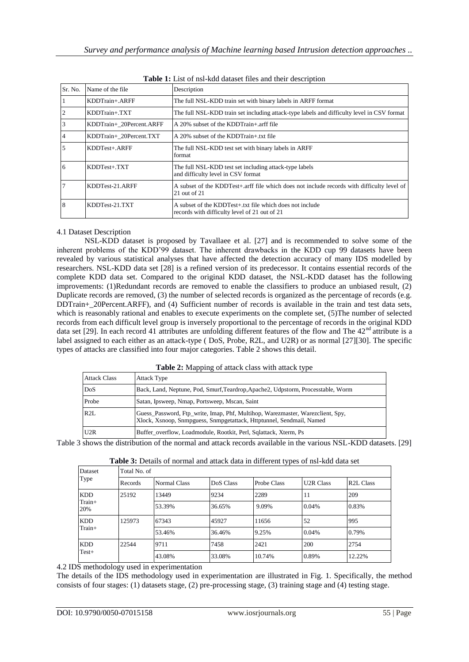| Sr. No. | Name of the file         | Description                                                                                                    |
|---------|--------------------------|----------------------------------------------------------------------------------------------------------------|
|         | KDDTrain+.ARFF           | The full NSL-KDD train set with binary labels in ARFF format                                                   |
|         | KDDTrain+.TXT            | The full NSL-KDD train set including attack-type labels and difficulty level in CSV format                     |
|         | KDDTrain+ 20Percent.ARFF | A 20% subset of the KDDTrain+ arff file                                                                        |
|         | KDDTrain+ 20Percent.TXT  | A 20% subset of the KDDTrain+ txt file                                                                         |
|         | KDDTest+.ARFF            | The full NSL-KDD test set with binary labels in ARFF<br>format                                                 |
| 6       | $KDDTest+ TXT$           | The full NSL-KDD test set including attack-type labels<br>and difficulty level in CSV format                   |
|         | KDDTest-21.ARFF          | A subset of the KDDTest+.arff file which does not include records with difficulty level of<br>$21$ out of $21$ |
| 8       | KDDTest-21.TXT           | A subset of the KDDTest+.txt file which does not include<br>records with difficulty level of 21 out of 21      |

| <b>Table 1:</b> List of nsl-kdd dataset files and their description |
|---------------------------------------------------------------------|
|---------------------------------------------------------------------|

# 4.1 Dataset Description

NSL-KDD dataset is proposed by Tavallaee et al. [27] and is recommended to solve some of the inherent problems of the KDD"99 dataset. The inherent drawbacks in the KDD cup 99 datasets have been revealed by various statistical analyses that have affected the detection accuracy of many IDS modelled by researchers. NSL-KDD data set [28] is a refined version of its predecessor. It contains essential records of the complete KDD data set. Compared to the original KDD dataset, the NSL-KDD dataset has the following improvements: (1)Redundant records are removed to enable the classifiers to produce an unbiased result, (2) Duplicate records are removed, (3) the number of selected records is organized as the percentage of records (e.g. DDTrain+\_20Percent.ARFF), and (4) Sufficient number of records is available in the train and test data sets, which is reasonably rational and enables to execute experiments on the complete set, (5)The number of selected records from each difficult level group is inversely proportional to the percentage of records in the original KDD data set [29]. In each record 41 attributes are unfolding different features of the flow and The  $42<sup>nd</sup>$  attribute is a label assigned to each either as an attack-type ( DoS, Probe, R2L, and U2R) or as normal [27][30]. The specific types of attacks are classified into four major categories. Table 2 shows this detail.

**Table 2:** Mapping of attack class with attack type

| <b>Attack Class</b> | <b>Attack Type</b>                                                                                                                                     |
|---------------------|--------------------------------------------------------------------------------------------------------------------------------------------------------|
| DoS                 | Back, Land, Neptune, Pod, Smurf, Teardrop, Apache2, Udpstorm, Processtable, Worm                                                                       |
| Probe               | Satan, Ipsweep, Nmap, Portsweep, Mscan, Saint                                                                                                          |
| R2L                 | Guess_Password, Ftp_write, Imap, Phf, Multihop, Warezmaster, Warezclient, Spy,<br>Xlock, Xsnoop, Snmpguess, Snmpgetattack, Httptunnel, Sendmail, Named |
| U2R                 | Buffer overflow, Loadmodule, Rootkit, Perl, Sqlattack, Xterm, Ps                                                                                       |

Table 3 shows the distribution of the normal and attack records available in the various NSL-KDD datasets. [29]

| Dataset       | Total No. of |              |           |             |                  |                        |  |  |
|---------------|--------------|--------------|-----------|-------------|------------------|------------------------|--|--|
| Type          | Records      | Normal Class | DoS Class | Probe Class | <b>U2R Class</b> | R <sub>2</sub> L Class |  |  |
| <b>KDD</b>    | 25192        | 13449        | 9234      | 2289        | 11               | 209                    |  |  |
| Train+<br>20% |              | 53.39%       | 36.65%    | 9.09%       | 0.04%            | 0.83%                  |  |  |
| <b>KDD</b>    | 125973       | 67343        | 45927     | 11656       | 52               | 995                    |  |  |
| Train+        |              | 53.46%       | 36.46%    | 9.25%       | 0.04%            | 0.79%                  |  |  |
| <b>KDD</b>    | 22544        | 9711         | 7458      | 2421        | 200              | 2754                   |  |  |
| $Test+$       |              | 43.08%       | 33.08%    | 10.74%      | 0.89%            | 12.22%                 |  |  |

**Table 3:** Details of normal and attack data in different types of nsl-kdd data set

4.2 IDS methodology used in experimentation

The details of the IDS methodology used in experimentation are illustrated in Fig. 1. Specifically, the method consists of four stages: (1) datasets stage, (2) pre-processing stage, (3) training stage and (4) testing stage.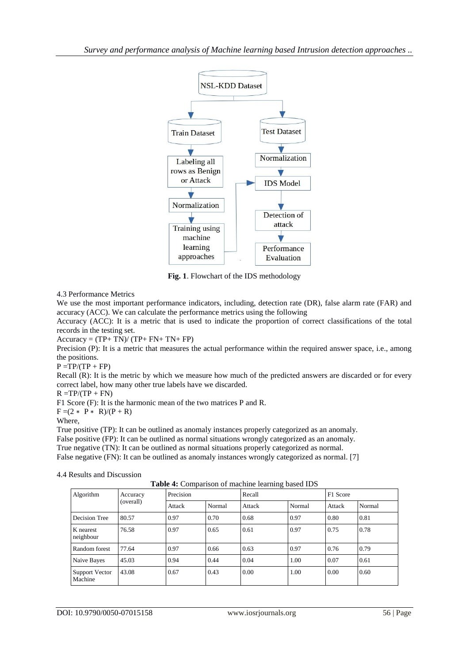

**Fig. 1**. Flowchart of the IDS methodology

# 4.3 Performance Metrics

We use the most important performance indicators, including, detection rate (DR), false alarm rate (FAR) and accuracy (ACC). We can calculate the performance metrics using the following

Accuracy (ACC): It is a metric that is used to indicate the proportion of correct classifications of the total records in the testing set.

 $Accuracy = (TP + TN)/(TP + FN + TN + FP)$ 

Precision (P): It is a metric that measures the actual performance within the required answer space, i.e., among the positions.

 $P = TP/(TP + FP)$ 

Recall (R): It is the metric by which we measure how much of the predicted answers are discarded or for every correct label, how many other true labels have we discarded.

 $R = TP/(TP + FN)$ 

F1 Score (F): It is the harmonic mean of the two matrices P and R.

 $F = (2 * P * R)/(P + R)$ 

Where,

True positive (TP): It can be outlined as anomaly instances properly categorized as an anomaly.

False positive (FP): It can be outlined as normal situations wrongly categorized as an anomaly.

True negative (TN): It can be outlined as normal situations properly categorized as normal.

False negative (FN): It can be outlined as anomaly instances wrongly categorized as normal. [7]

# 4.4 Results and Discussion

**Table 4:** Comparison of machine learning based IDS

| <b>THOIC</b> TO COMPANY OF MACHING IGAINING UASCA IDD |                       |           |        |        |        |          |        |  |
|-------------------------------------------------------|-----------------------|-----------|--------|--------|--------|----------|--------|--|
| Algorithm                                             | Accuracy<br>(overall) | Precision |        | Recall |        | F1 Score |        |  |
|                                                       |                       | Attack    | Normal | Attack | Normal | Attack   | Normal |  |
| Decision Tree                                         | 80.57                 | 0.97      | 0.70   | 0.68   | 0.97   | 0.80     | 0.81   |  |
| K nearest<br>neighbour                                | 76.58                 | 0.97      | 0.65   | 0.61   | 0.97   | 0.75     | 0.78   |  |
| Random forest                                         | 77.64                 | 0.97      | 0.66   | 0.63   | 0.97   | 0.76     | 0.79   |  |
| Naive Bayes                                           | 45.03                 | 0.94      | 0.44   | 0.04   | 1.00   | 0.07     | 0.61   |  |
| Support Vector<br>Machine                             | 43.08                 | 0.67      | 0.43   | 0.00   | 1.00   | 0.00     | 0.60   |  |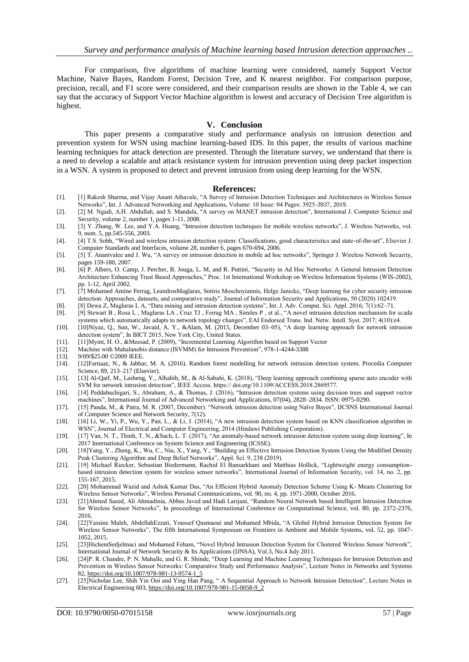For comparison, five algorithms of machine learning were considered, namely Support Vector Machine, Naive Bayes, Random Forest, Decision Tree, and K nearest neighbor. For comparison purpose, precision, recall, and F1 score were considered, and their comparison results are shown in the Table 4, we can say that the accuracy of Support Vector Machine algorithm is lowest and accuracy of Decision Tree algorithm is highest.

#### **V. Conclusion**

This paper presents a comparative study and performance analysis on intrusion detection and prevention system for WSN using machine learning-based IDS. In this paper, the results of various machine learning techniques for attack detection are presented. Through the literature survey, we understand that there is a need to develop a scalable and attack resistance system for intrusion prevention using deep packet inspection in a WSN. A system is proposed to detect and prevent intrusion from using deep learning for the WSN.

#### **References:**

- [1]. [1] Rakesh Sharma, and Vijay Anant Athavale, "A Survey of Intrusion Detection Techniques and Architectures in Wireless Sensor Networks", Int. J. Advanced Networking and Applications, Volume: 10 Issue: 04 Pages: 3925-3937, 2019.
- [2]. [2] M. Ngadi, A.H. Abdullah, and S. Mandala, "A survey on MANET intrusion detection", International J. Computer Science and Security, volume 2, number 1, pages 1-11, 2008.
- [3]. [3] Y. Zhang, W. Lee, and Y.A. Huang, "Intrusion detection techniques for mobile wireless networks", J. Wireless Networks, vol. 9, num. 5, pp.545-556, 2003.
- [4]. [4] T.S. Sobh, "Wired and wireless intrusion detection system: Classifications, good characteristics and state-of-the-art", Elsevier J. Computer Standards and Interfaces, volume 28, number 6, pages 670-694, 2006.
- [5]. [5] T. Anantvalee and J. Wu, "A survey on intrusion detection in mobile ad hoc networks", Springer J. Wireless Network Security, pages 159-180, 2007.
- [6]. [6] P. Albers, O. Camp, J. Percher, B. Jouga, L. M, and R. Puttini, "Security in Ad Hoc Networks: A General Intrusion Detection Architecture Enhancing Trust Based Approaches," Proc. 1st International Workshop on Wireless Information Systems (WIS-2002), pp. 1-12, April 2002.
- [7]. [7] Mohamed Amine Ferrag, LeandrosMaglaras, Sotiris Moschoyiannis, Helge Janicke, "Deep learning for cyber security intrusion detection: Approaches, datasets, and comparative study", Journal of Information Security and Applications, 50 (2020) 102419.
- [8]. [8] Dewa Z, Maglaras L A, "Data mining and intrusion detection systems", Int. J. Adv. Comput. Sci. Appl. 2016; 7(1):62–71.
- [9]. [9] Stewart B , Rosa L , Maglaras LA , Cruz TJ , Ferrag MA , Simões P , et al., "A novel intrusion detection mechanism for scada
- systems which automatically adapts to network topology changes", EAI Endorsed Trans. Ind. Netw. Intell. Syst. 2017; 4(10):e4. [10]. [10]Niyaz, Q., Sun, W., Javaid, A. Y., &Alam, M. (2015, December 03–05), "A deep learning approach for network intrusion detection system", In BICT 2015, New York City, United States.
- [11]. [11]Myint, H. O., &Meesad, P. (2009), "Incremental Learning Algorithm based on Support Vector
- [12]. Machine with Mahalanobis distance (ISVMM) for Intrusion Prevention", 978-1-4244-3388
- [13]. 9/09/\$25.00 ©2009 IEEE.
- [14]. [12]Farnaaz, N., & Jabbar, M. A. (2016). Random forest modelling for network intrusion detection system. Procedia Computer Science, 89, 213–217 (Elsevier).
- [15]. [13] Al-Qatf, M., Lasheng, Y., Alhabib, M., & Al-Sabahi, K. (2018), "Deep learning approach combining sparse auto encoder with SVM for network intrusion detection", IEEE Access. https:// doi.org/10.1109/ACCESS.2018.2869577.
- [16]. [14] Peddabachigari, S., Abraham, A., & Thomas, J. (2016), "Intrusion detection systems using decision trees and support vector machines", International Journal of Advanced Networking and Applications, 07(04), 2828–2834. ISSN: 0975-0290.
- [17]. [15] Panda, M., & Patra, M. R. (2007, December). "Network intrusion detection using Naïve Bayes", IJCSNS International Journal of Computer Science and Network Security, 7(12).
- [18]. [16] Li, W., Yi, P., Wu, Y., Pan, L., & Li, J. (2014), "A new intrusion detection system based on KNN classification algorithm in WSN", Journal of Electrical and Computer Engineering, 2014 (Hindawi Publishing Corporation).
- [19]. [17] Van, N. T., Thinh, T. N., &Sach, L. T. (2017), "An anomaly-based network intrusion detection system using deep learning", In 2017 International Conference on System Science and Engineering (ICSSE).
- [20]. [18]Yang, Y., Zheng, K., Wu, C., Niu, X., Yang, Y., "Building an Effective Intrusion Detection System Using the Modified Density Peak Clustering Algorithm and Deep Belief Networks", Appl. Sci. 9, 238 (2019).
- [21]. [19] Michael Riecker, Sebastian Biedermann, Rachid El Bansarkhani and Matthias Hollick, "Lightweight energy consumptionbased intrusion detection system for wireless sensor networks", International Journal of Information Security, vol. 14, no. 2, pp. 155-167, 2015.
- [22]. [20] Mohammad Wazid and Ashok Kumar Das, "An Efficient Hybrid Anomaly Detection Scheme Using K- Means Clustering for Wireless Sensor Networks", Wireless Personal Communications, vol. 90, no. 4, pp. 1971-2000, October 2016.
- [23]. [21]Ahmed Saeed, Ali Ahmadinia, Abbas Javed and Hadi Larijani, "Random Neural Network based Intelligent Intrusion Detection for Wireless Sensor Networks", In proceedings of International Conference on Computational Science, vol. 80, pp. 2372-2376, 2016.
- [24]. [22]Yassine Maleh, AbdellahEzzati, Youssef Qasmaoui and Mohamed Mbida, "A Global Hybrid Intrusion Detection System for Wireless Sensor Networks", The fifth International Symposium on Frontiers in Ambient and Mobile Systems, vol. 52, pp. 1047- 1052, 2015.
- [25]. [23]HichemSedjelmaci and Mohamed Feham, "Novel Hybrid Intrusion Detection System for Clustered Wireless Sensor Network", International Journal of Network Security & Its Applications (IJNSA), Vol.3, No.4 July 2011.
- [26]. [24]P. R. Chandre, P. N. Mahalle, and G. R. Shinde, "Deep Learning and Machine Learning Techniques for Intrusion Detection and Prevention in Wireless Sensor Networks: Comparative Study and Performance Analysis", Lecture Notes in Networks and Systems 82[, https://doi.org/10.1007/978-981-13-9574-1\\_5](https://doi.org/10.1007/978-981-13-9574-1_5)
- [27]. [25]Nicholas Lee, Shih Yin Ooi and Ying Han Pang, " A Sequential Approach to Network Intrusion Detection", Lecture Notes in Electrical Engineering 603[, https://doi.org/10.1007/978-981-15-0058-9\\_2](https://doi.org/10.1007/978-981-15-0058-9_2)